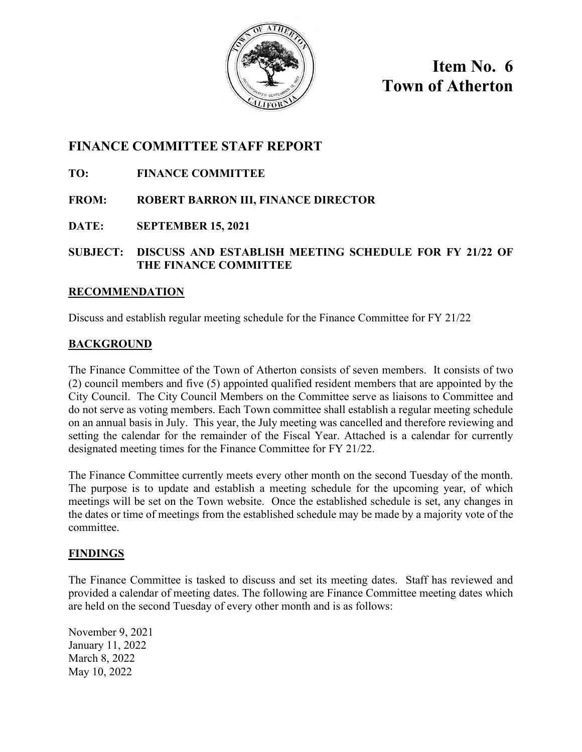

**Item No. 6 Town of Atherton**

# **FINANCE COMMITTEE STAFF REPORT**

## **TO: FINANCE COMMITTEE**

- **FROM: ROBERT BARRON III, FINANCE DIRECTOR**
- **DATE: SEPTEMBER 15, 2021**

**SUBJECT: DISCUSS AND ESTABLISH MEETING SCHEDULE FOR FY 21/22 OF THE FINANCE COMMITTEE**

### **RECOMMENDATION**

Discuss and establish regular meeting schedule for the Finance Committee for FY 21/22

## **BACKGROUND**

The Finance Committee of the Town of Atherton consists of seven members. It consists of two (2) council members and five (5) appointed qualified resident members that are appointed by the City Council. The City Council Members on the Committee serve as liaisons to Committee and do not serve as voting members. Each Town committee shall establish a regular meeting schedule on an annual basis in July. This year, the July meeting was cancelled and therefore reviewing and setting the calendar for the remainder of the Fiscal Year. Attached is a calendar for currently designated meeting times for the Finance Committee for FY 21/22.

The Finance Committee currently meets every other month on the second Tuesday of the month. The purpose is to update and establish a meeting schedule for the upcoming year, of which meetings will be set on the Town website. Once the established schedule is set, any changes in the dates or time of meetings from the established schedule may be made by a majority vote of the committee.

#### **FINDINGS**

The Finance Committee is tasked to discuss and set its meeting dates. Staff has reviewed and provided a calendar of meeting dates. The following are Finance Committee meeting dates which are held on the second Tuesday of every other month and is as follows:

November 9, 2021 January 11, 2022 March 8, 2022 May 10, 2022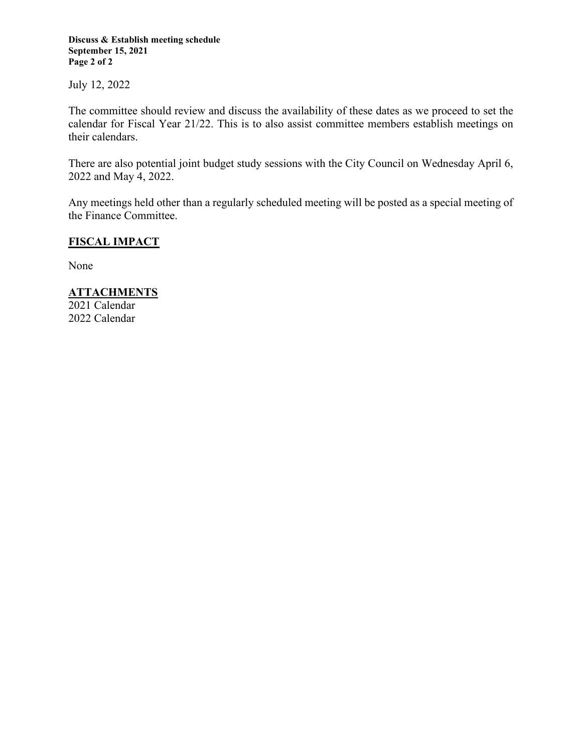**Discuss & Establish meeting schedule September 15, 2021 Page 2 of 2**

July 12, 2022

The committee should review and discuss the availability of these dates as we proceed to set the calendar for Fiscal Year 21/22. This is to also assist committee members establish meetings on their calendars.

There are also potential joint budget study sessions with the City Council on Wednesday April 6, 2022 and May 4, 2022.

Any meetings held other than a regularly scheduled meeting will be posted as a special meeting of the Finance Committee.

### **FISCAL IMPACT**

None

# **ATTACHMENTS**

2021 Calendar 2022 Calendar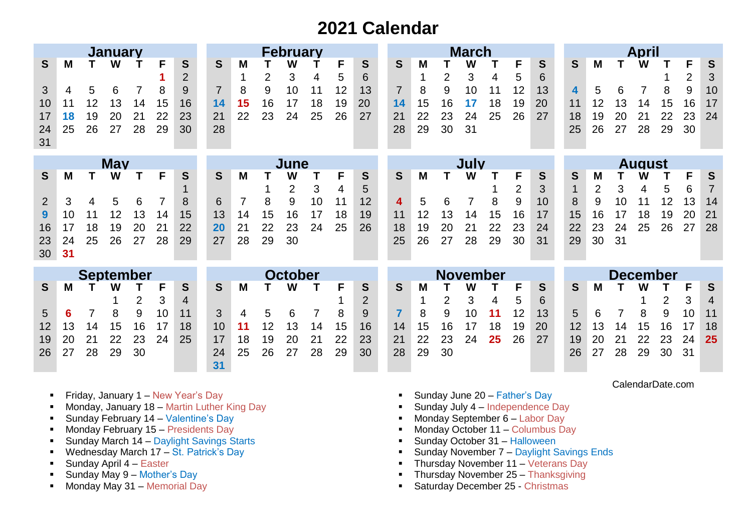# **2021 Calendar**

|                  |    |    | <b>January</b> |    |    |                | <b>February</b> |      |    |                |    |    |                |                 | <b>March</b> |    |    |    |    |                |                 |    | <b>April</b>   |    |    |    |                |                |  |  |
|------------------|----|----|----------------|----|----|----------------|-----------------|------|----|----------------|----|----|----------------|-----------------|--------------|----|----|----|----|----------------|-----------------|----|----------------|----|----|----|----------------|----------------|--|--|
| S                | м  |    | W              |    | F  | S              | S               | M    |    |                |    | F  | S              | S               |              | М  |    | W  |    | F              | S               | S  | M              |    | W  |    | F              | S              |  |  |
|                  |    |    |                |    |    | $\overline{2}$ |                 |      | 2  | 3              | 4  | 5  | 6              |                 |              |    | 2  | 3  | 4  | 5              | 6               |    |                |    |    |    | $\overline{2}$ | $\mathfrak{S}$ |  |  |
| 3                | 4  | 5  | 6              |    | 8  | 9              | 7               | 8    | 9  | 10             | 11 | 12 | 13             | $\overline{7}$  |              | 8  | 9  | 10 | 11 | 12             | 13              | 4  | 5              | 6  |    | 8  | 9              | 10             |  |  |
| 10               |    | 12 | 13             | 14 | 15 | 16             | 14              | 15   | 16 | 17             | 18 | 19 | 20             | 14              |              | 15 | 16 | 17 | 18 | 19             | 20              | 11 | 12             | 13 | 14 | 15 | 16             | 17             |  |  |
| 17               | 18 | 19 | 20             | 21 | 22 | 23             | 21              | 22   | 23 | 24             | 25 | 26 | 27             | 21              |              | 22 | 23 | 24 | 25 | 26             | 27              | 18 | 19             | 20 | 21 | 22 | 23             | 24             |  |  |
| 24               | 25 | 26 | 27             | 28 | 29 | 30             | 28              |      |    |                |    |    |                | 28              |              | 29 | 30 | 31 |    |                |                 | 25 | 26             | 27 | 28 | 29 | 30             |                |  |  |
| 31               |    |    |                |    |    |                |                 |      |    |                |    |    |                |                 |              |    |    |    |    |                |                 |    |                |    |    |    |                |                |  |  |
| <b>May</b>       |    |    |                |    |    |                |                 | June |    |                |    |    |                |                 | July         |    |    |    |    |                |                 |    | <b>August</b>  |    |    |    |                |                |  |  |
| S                | M  |    | W              |    | F  | S              | S               | M    |    | W              |    | F  | S              | S               |              | M  |    | W  |    | F              | S               | S  | M              |    | w  |    | F              | S              |  |  |
|                  |    |    |                |    |    |                |                 |      |    | $\overline{2}$ | 3  | 4  | 5              |                 |              |    |    |    |    | $\overline{2}$ | 3               |    | $\overline{2}$ | 3  | 4  | 5  | 6              | 7              |  |  |
| $\overline{2}$   | 3  | 4  | 5              | 6  |    | 8              | 6               |      | 8  | 9              | 10 | 11 | 12             | 4               |              | 5  | 6  |    | 8  | 9              | 10              | 8  | 9              | 10 | 11 | 12 | 13             | 14             |  |  |
| 9                | 10 | 11 | 12             | 13 | 14 | 15             | 13              | 14   | 15 | 16             | 17 | 18 | 19             | 11              |              | 12 | 13 | 14 | 15 | 16             | 17              | 15 | 16             | 17 | 18 | 19 | 20             | 21             |  |  |
| 16               | 17 | 18 | 19             | 20 | 21 | 22             | 20              | 21   | 22 | 23             | 24 | 25 | 26             | 18              |              | 19 | 20 | 21 | 22 | 23             | 24              | 22 | 23             | 24 | 25 | 26 | 27             | 28             |  |  |
| 23               | 24 | 25 | 26             | 27 | 28 | 29             | 27              | 28   | 29 | 30             |    |    |                | 25              |              | 26 | 27 | 28 | 29 | 30             | 31              | 29 | 30             | 31 |    |    |                |                |  |  |
| 30               | 31 |    |                |    |    |                |                 |      |    |                |    |    |                |                 |              |    |    |    |    |                |                 |    |                |    |    |    |                |                |  |  |
| <b>September</b> |    |    |                |    |    | <b>October</b> |                 |      |    |                |    |    |                | <b>November</b> |              |    |    |    |    |                | <b>December</b> |    |                |    |    |    |                |                |  |  |
| S                | м  |    | W              |    | F  | S              | S               | M    |    | W              |    | F  | S              | S               |              | м  |    | W  |    | F              | S               | S  | Μ              |    | w  |    | F              | S              |  |  |
|                  |    |    |                | 2  | 3  | $\overline{4}$ |                 |      |    |                |    |    | $\overline{2}$ |                 |              |    | 2  | 3  | 4  | 5              | 6               |    |                |    |    | 2  | 3              | $\overline{4}$ |  |  |
| 5                | 6  |    | 8              | 9  | 10 | 11             | 3               | 4    | 5  | 6              | 7  | 8  | 9              |                 |              | 8  | 9  | 10 | 11 | 12             | 13              | 5  | 6              |    | 8  | 9  | 10             | 11             |  |  |
| 12               | 13 | 14 | 15             | 16 | 17 | 18             | 10              | 11   | 12 | 13             | 14 | 15 | 16             | 14              |              | 15 | 16 | 17 | 18 | 19             | 20              | 12 | 13             | 14 | 15 | 16 | 17             | 18             |  |  |
| 19               | 20 | 21 | 22             | 23 | 24 | 25             | 17              | 18   | 19 | 20             | 21 | 22 | 23             | 21              |              | 22 | 23 | 24 | 25 | 26             | 27              | 19 | 20             | 21 |    | 23 | 24             | 25             |  |  |
| 26               | 27 | 28 | 29             | 30 |    |                | 24              | 25   | 26 | 27             | 28 | 29 | 30             | 28              |              | 29 | 30 |    |    |                |                 | 26 | 27             | 28 | 29 | 30 | 31             |                |  |  |
|                  |    |    |                |    |    |                | 31              |      |    |                |    |    |                |                 |              |    |    |    |    |                |                 |    |                |    |    |    |                |                |  |  |

- Friday, January  $1 -$  New Year's Day
- **Monday, January 18 Martin Luther King Day**
- **Sunday February 14 Valentine's Day**
- **Monday February 15 Presidents Day**
- **Sunday March 14 Daylight Savings Starts**
- **Wednesday March 17 St. Patrick's Day**
- $\blacksquare$  Sunday April 4 Easter
- Sunday May  $9 -$  Mother's Day
- **Monday May 31 Memorial Day**
- Sunday June  $20 -$  Father's Day
- **Sunday July 4 Independence Day**
- **Monday September 6 Labor Day**
- **Monday October 11 Columbus Day**
- Sunday October 31 Halloween
- **Sunday November 7 Daylight Savings Ends**
- **Thursday November 11 Veterans Day**
- Thursday November 25 Thanksgiving
- **Saturday December 25 Christmas**

#### CalendarDate.com